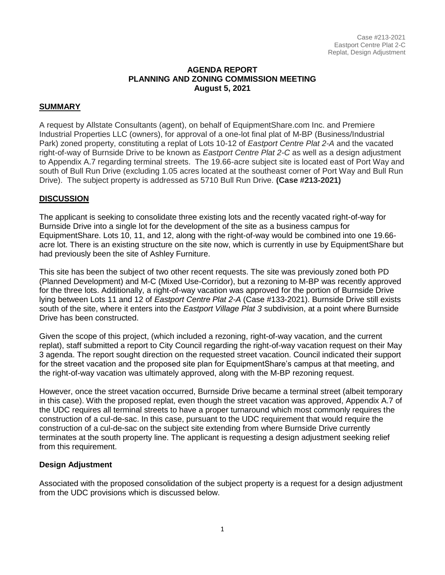#### **AGENDA REPORT PLANNING AND ZONING COMMISSION MEETING August 5, 2021**

#### **SUMMARY**

A request by Allstate Consultants (agent), on behalf of EquipmentShare.com Inc. and Premiere Industrial Properties LLC (owners), for approval of a one-lot final plat of M-BP (Business/Industrial Park) zoned property, constituting a replat of Lots 10-12 of *Eastport Centre Plat 2-A* and the vacated right-of-way of Burnside Drive to be known as *Eastport Centre Plat 2-C* as well as a design adjustment to Appendix A.7 regarding terminal streets. The 19.66-acre subject site is located east of Port Way and south of Bull Run Drive (excluding 1.05 acres located at the southeast corner of Port Way and Bull Run Drive). The subject property is addressed as 5710 Bull Run Drive. **(Case #213-2021)**

#### **DISCUSSION**

The applicant is seeking to consolidate three existing lots and the recently vacated right-of-way for Burnside Drive into a single lot for the development of the site as a business campus for EquipmentShare. Lots 10, 11, and 12, along with the right-of-way would be combined into one 19.66 acre lot. There is an existing structure on the site now, which is currently in use by EquipmentShare but had previously been the site of Ashley Furniture.

This site has been the subject of two other recent requests. The site was previously zoned both PD (Planned Development) and M-C (Mixed Use-Corridor), but a rezoning to M-BP was recently approved for the three lots. Additionally, a right-of-way vacation was approved for the portion of Burnside Drive lying between Lots 11 and 12 of *Eastport Centre Plat 2-A* (Case #133-2021). Burnside Drive still exists south of the site, where it enters into the *Eastport Village Plat 3* subdivision, at a point where Burnside Drive has been constructed.

Given the scope of this project, (which included a rezoning, right-of-way vacation, and the current replat), staff submitted a report to City Council regarding the right-of-way vacation request on their May 3 agenda. The report sought direction on the requested street vacation. Council indicated their support for the street vacation and the proposed site plan for EquipmentShare's campus at that meeting, and the right-of-way vacation was ultimately approved, along with the M-BP rezoning request.

However, once the street vacation occurred, Burnside Drive became a terminal street (albeit temporary in this case). With the proposed replat, even though the street vacation was approved, Appendix A.7 of the UDC requires all terminal streets to have a proper turnaround which most commonly requires the construction of a cul-de-sac. In this case, pursuant to the UDC requirement that would require the construction of a cul-de-sac on the subject site extending from where Burnside Drive currently terminates at the south property line. The applicant is requesting a design adjustment seeking relief from this requirement.

#### **Design Adjustment**

Associated with the proposed consolidation of the subject property is a request for a design adjustment from the UDC provisions which is discussed below.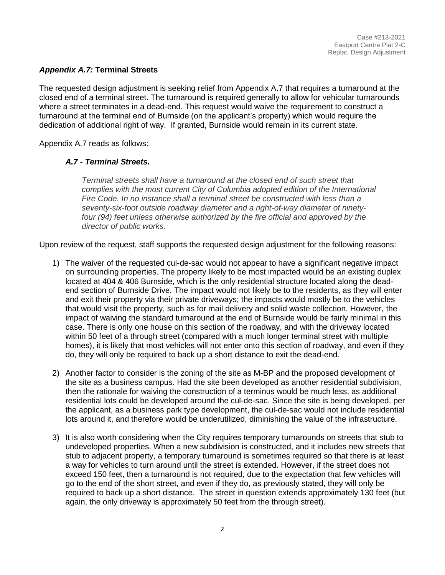## *Appendix A.7:* **Terminal Streets**

The requested design adjustment is seeking relief from Appendix A.7 that requires a turnaround at the closed end of a terminal street. The turnaround is required generally to allow for vehicular turnarounds where a street terminates in a dead-end. This request would waive the requirement to construct a turnaround at the terminal end of Burnside (on the applicant's property) which would require the dedication of additional right of way. If granted, Burnside would remain in its current state.

Appendix A.7 reads as follows:

## *A.7 - Terminal Streets.*

*Terminal streets shall have a turnaround at the closed end of such street that complies with the most current City of Columbia adopted edition of the International Fire Code. In no instance shall a terminal street be constructed with less than a seventy-six-foot outside roadway diameter and a right-of-way diameter of ninetyfour (94) feet unless otherwise authorized by the fire official and approved by the director of public works.*

Upon review of the request, staff supports the requested design adjustment for the following reasons:

- 1) The waiver of the requested cul-de-sac would not appear to have a significant negative impact on surrounding properties. The property likely to be most impacted would be an existing duplex located at 404 & 406 Burnside, which is the only residential structure located along the deadend section of Burnside Drive. The impact would not likely be to the residents, as they will enter and exit their property via their private driveways; the impacts would mostly be to the vehicles that would visit the property, such as for mail delivery and solid waste collection. However, the impact of waiving the standard turnaround at the end of Burnside would be fairly minimal in this case. There is only one house on this section of the roadway, and with the driveway located within 50 feet of a through street (compared with a much longer terminal street with multiple homes), it is likely that most vehicles will not enter onto this section of roadway, and even if they do, they will only be required to back up a short distance to exit the dead-end.
- 2) Another factor to consider is the zoning of the site as M-BP and the proposed development of the site as a business campus. Had the site been developed as another residential subdivision, then the rationale for waiving the construction of a terminus would be much less, as additional residential lots could be developed around the cul-de-sac. Since the site is being developed, per the applicant, as a business park type development, the cul-de-sac would not include residential lots around it, and therefore would be underutilized, diminishing the value of the infrastructure.
- 3) It is also worth considering when the City requires temporary turnarounds on streets that stub to undeveloped properties. When a new subdivision is constructed, and it includes new streets that stub to adjacent property, a temporary turnaround is sometimes required so that there is at least a way for vehicles to turn around until the street is extended. However, if the street does not exceed 150 feet, then a turnaround is not required, due to the expectation that few vehicles will go to the end of the short street, and even if they do, as previously stated, they will only be required to back up a short distance. The street in question extends approximately 130 feet (but again, the only driveway is approximately 50 feet from the through street).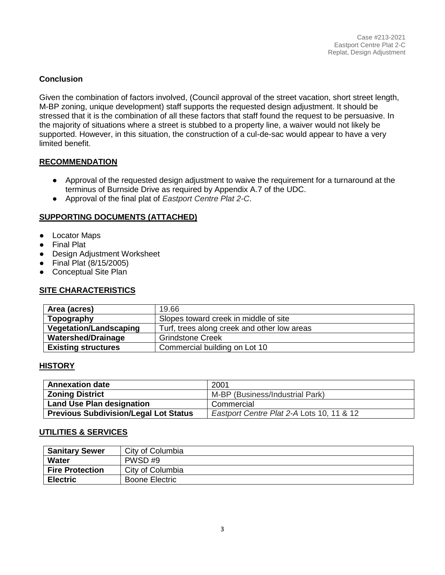## **Conclusion**

Given the combination of factors involved, (Council approval of the street vacation, short street length, M-BP zoning, unique development) staff supports the requested design adjustment. It should be stressed that it is the combination of all these factors that staff found the request to be persuasive. In the majority of situations where a street is stubbed to a property line, a waiver would not likely be supported. However, in this situation, the construction of a cul-de-sac would appear to have a very limited benefit.

## **RECOMMENDATION**

- Approval of the requested design adjustment to waive the requirement for a turnaround at the terminus of Burnside Drive as required by Appendix A.7 of the UDC.
- Approval of the final plat of *Eastport Centre Plat 2-C*.

## **SUPPORTING DOCUMENTS (ATTACHED)**

- Locator Maps
- Final Plat
- Design Adjustment Worksheet
- Final Plat (8/15/2005)
- Conceptual Site Plan

## **SITE CHARACTERISTICS**

| Area (acres)                  | 19.66                                       |
|-------------------------------|---------------------------------------------|
| Topography                    | Slopes toward creek in middle of site       |
| <b>Vegetation/Landscaping</b> | Turf, trees along creek and other low areas |
| <b>Watershed/Drainage</b>     | <b>Grindstone Creek</b>                     |
| <b>Existing structures</b>    | Commercial building on Lot 10               |

## **HISTORY**

| <b>Annexation date</b>                       | 2001                                      |
|----------------------------------------------|-------------------------------------------|
| <b>Zoning District</b>                       | M-BP (Business/Industrial Park)           |
| <b>Land Use Plan designation</b>             | Commercial                                |
| <b>Previous Subdivision/Legal Lot Status</b> | Eastport Centre Plat 2-A Lots 10, 11 & 12 |

#### **UTILITIES & SERVICES**

| <b>Sanitary Sewer</b>  | City of Columbia      |
|------------------------|-----------------------|
| Water                  | PWSD#9                |
| <b>Fire Protection</b> | City of Columbia      |
| <b>Electric</b>        | <b>Boone Electric</b> |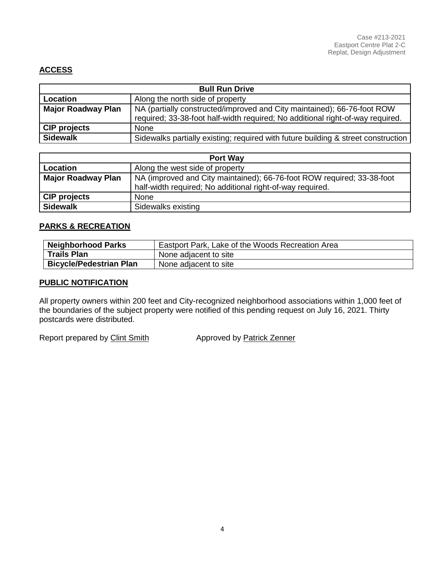# **ACCESS**

| <b>Bull Run Drive</b>     |                                                                                                                                                           |  |
|---------------------------|-----------------------------------------------------------------------------------------------------------------------------------------------------------|--|
| Location                  | Along the north side of property                                                                                                                          |  |
| <b>Major Roadway Plan</b> | NA (partially constructed/improved and City maintained); 66-76-foot ROW<br>required; 33-38-foot half-width required; No additional right-of-way required. |  |
| <b>CIP projects</b>       | <b>None</b>                                                                                                                                               |  |
| <b>Sidewalk</b>           | Sidewalks partially existing; required with future building & street construction                                                                         |  |

| <b>Port Way</b>           |                                                                                                                                     |  |
|---------------------------|-------------------------------------------------------------------------------------------------------------------------------------|--|
| Location                  | Along the west side of property                                                                                                     |  |
| <b>Major Roadway Plan</b> | NA (improved and City maintained); 66-76-foot ROW required; 33-38-foot<br>half-width required; No additional right-of-way required. |  |
| <b>CIP projects</b>       | <b>None</b>                                                                                                                         |  |
| <b>Sidewalk</b>           | Sidewalks existing                                                                                                                  |  |

#### **PARKS & RECREATION**

| <b>Neighborhood Parks</b>      | Eastport Park, Lake of the Woods Recreation Area |
|--------------------------------|--------------------------------------------------|
| <b>Trails Plan</b>             | None adjacent to site                            |
| <b>Bicycle/Pedestrian Plan</b> | None adjacent to site                            |

#### **PUBLIC NOTIFICATION**

All property owners within 200 feet and City-recognized neighborhood associations within 1,000 feet of the boundaries of the subject property were notified of this pending request on July 16, 2021. Thirty postcards were distributed.

Report prepared by Clint Smith Approved by Patrick Zenner